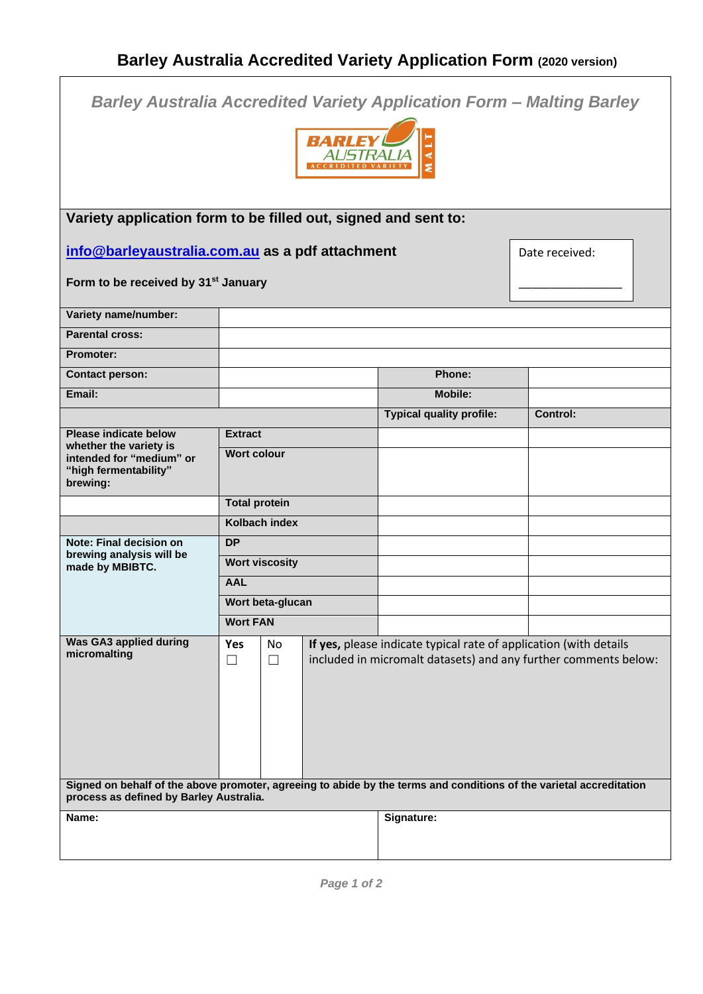| <b>Barley Australia Accredited Variety Application Form - Malting Barley</b><br><b>RARIE</b>                                                                   |                      |                       |  |                                                                                                                                      |  |                 |
|----------------------------------------------------------------------------------------------------------------------------------------------------------------|----------------------|-----------------------|--|--------------------------------------------------------------------------------------------------------------------------------------|--|-----------------|
| Variety application form to be filled out, signed and sent to:                                                                                                 |                      |                       |  |                                                                                                                                      |  |                 |
| info@barleyaustralia.com.au as a pdf attachment<br>Date received:<br>Form to be received by 31 <sup>st</sup> January                                           |                      |                       |  |                                                                                                                                      |  |                 |
|                                                                                                                                                                |                      |                       |  |                                                                                                                                      |  |                 |
| Variety name/number:<br><b>Parental cross:</b>                                                                                                                 |                      |                       |  |                                                                                                                                      |  |                 |
| <b>Promoter:</b>                                                                                                                                               |                      |                       |  |                                                                                                                                      |  |                 |
| <b>Contact person:</b>                                                                                                                                         |                      |                       |  | Phone:                                                                                                                               |  |                 |
| Email:                                                                                                                                                         |                      |                       |  | <b>Mobile:</b>                                                                                                                       |  |                 |
|                                                                                                                                                                |                      |                       |  | <b>Typical quality profile:</b>                                                                                                      |  | <b>Control:</b> |
| <b>Please indicate below</b><br>whether the variety is<br>intended for "medium" or<br>"high fermentability"<br>brewing:                                        | <b>Extract</b>       |                       |  |                                                                                                                                      |  |                 |
|                                                                                                                                                                | <b>Wort colour</b>   |                       |  |                                                                                                                                      |  |                 |
|                                                                                                                                                                | <b>Total protein</b> |                       |  |                                                                                                                                      |  |                 |
|                                                                                                                                                                |                      | Kolbach index         |  |                                                                                                                                      |  |                 |
| Note: Final decision on<br>brewing analysis will be<br>made by MBIBTC.                                                                                         | <b>DP</b>            |                       |  |                                                                                                                                      |  |                 |
|                                                                                                                                                                |                      | <b>Wort viscosity</b> |  |                                                                                                                                      |  |                 |
|                                                                                                                                                                | <b>AAL</b>           |                       |  |                                                                                                                                      |  |                 |
|                                                                                                                                                                |                      | Wort beta-glucan      |  |                                                                                                                                      |  |                 |
|                                                                                                                                                                | <b>Wort FAN</b>      |                       |  |                                                                                                                                      |  |                 |
| <b>Was GA3 applied during</b><br>micromalting                                                                                                                  | Yes<br>$\Box$        | No<br>$\Box$          |  | If yes, please indicate typical rate of application (with details<br>included in micromalt datasets) and any further comments below: |  |                 |
| Signed on behalf of the above promoter, agreeing to abide by the terms and conditions of the varietal accreditation<br>process as defined by Barley Australia. |                      |                       |  |                                                                                                                                      |  |                 |
| Name:                                                                                                                                                          |                      |                       |  | Signature:                                                                                                                           |  |                 |